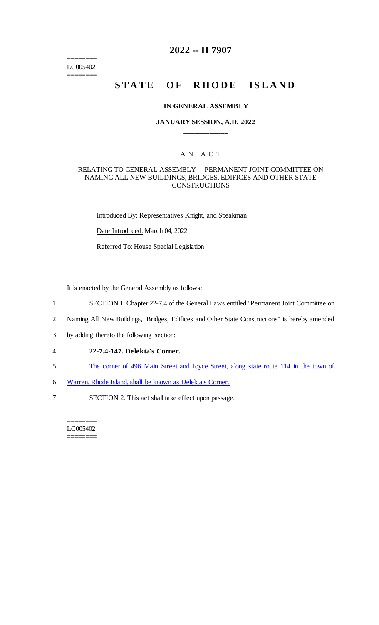======== LC005402 ========

## **2022 -- H 7907**

# **STATE OF RHODE ISLAND**

#### **IN GENERAL ASSEMBLY**

#### **JANUARY SESSION, A.D. 2022 \_\_\_\_\_\_\_\_\_\_\_\_**

### A N A C T

#### RELATING TO GENERAL ASSEMBLY -- PERMANENT JOINT COMMITTEE ON NAMING ALL NEW BUILDINGS, BRIDGES, EDIFICES AND OTHER STATE **CONSTRUCTIONS**

Introduced By: Representatives Knight, and Speakman

Date Introduced: March 04, 2022

Referred To: House Special Legislation

It is enacted by the General Assembly as follows:

- 1 SECTION 1. Chapter 22-7.4 of the General Laws entitled "Permanent Joint Committee on
- 2 Naming All New Buildings, Bridges, Edifices and Other State Constructions" is hereby amended
- 3 by adding thereto the following section:
- 4 **22-7.4-147. Delekta's Corner.**
- 5 The corner of 496 Main Street and Joyce Street, along state route 114 in the town of
- 6 Warren, Rhode Island, shall be known as Delekta's Corner.
- 7 SECTION 2. This act shall take effect upon passage.

======== LC005402 ========